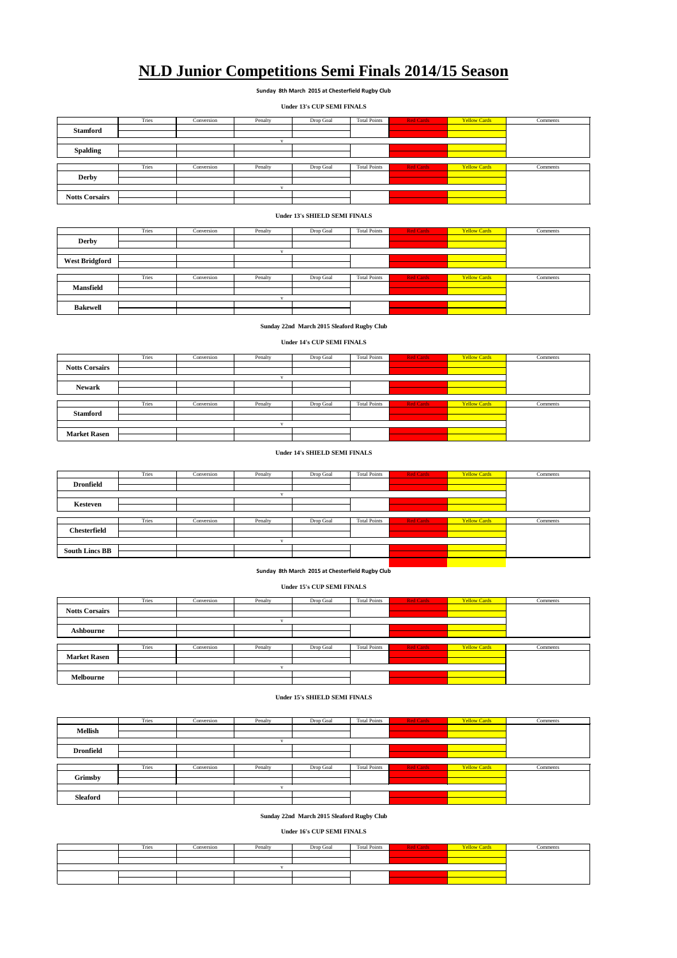|                 | Tries | Conversion | Penalty | Drop Goal | <b>Total Points</b> | <b>Red Cards</b> | <b>Yellow Cards</b> | Comments |  |  |
|-----------------|-------|------------|---------|-----------|---------------------|------------------|---------------------|----------|--|--|
| <b>Stamford</b> |       |            |         |           |                     |                  |                     |          |  |  |
|                 |       |            |         |           |                     |                  |                     |          |  |  |
|                 |       |            |         |           |                     |                  |                     |          |  |  |
|                 |       |            |         |           |                     |                  |                     |          |  |  |
| <b>Spalding</b> |       |            |         |           |                     |                  |                     |          |  |  |
|                 |       |            |         |           |                     |                  |                     |          |  |  |
|                 | Tries | Conversion | Penalty | Drop Goal | <b>Total Points</b> | <b>Red Cards</b> | <b>Yellow Cards</b> | Comments |  |  |
|                 |       |            |         |           |                     |                  |                     |          |  |  |

|                       | Tries | Conversion | Penalty | Drop Goal | <b>Total Points</b> | <b>Red Cards</b> | <b>Yellow Cards</b> | Comments |
|-----------------------|-------|------------|---------|-----------|---------------------|------------------|---------------------|----------|
| <b>Derby</b>          |       |            |         |           |                     |                  |                     |          |
|                       |       |            |         |           |                     |                  |                     |          |
|                       |       |            |         |           |                     |                  |                     |          |
| <b>West Bridgford</b> |       |            |         |           |                     |                  |                     |          |
|                       |       |            |         |           |                     |                  |                     |          |

|                  | Tries | Conversion | Penalty | Drop Goal | <b>Total Points</b> | <b>Red Cards</b> | <b>Yellow Cards</b> | Comments |  |
|------------------|-------|------------|---------|-----------|---------------------|------------------|---------------------|----------|--|
| <b>Mansfield</b> |       |            |         |           |                     |                  |                     |          |  |
|                  |       |            |         |           |                     |                  |                     |          |  |
|                  |       |            |         |           |                     |                  |                     |          |  |
| <b>Bakewell</b>  |       |            |         |           |                     |                  |                     |          |  |
|                  |       |            |         |           |                     |                  |                     |          |  |

|                     | Tries | Conversion | Penalty | Drop Goal | <b>Total Points</b> | <b>Red Cards</b> | <b>Yellow Cards</b> | Comments |  |
|---------------------|-------|------------|---------|-----------|---------------------|------------------|---------------------|----------|--|
| <b>Stamford</b>     |       |            |         |           |                     |                  |                     |          |  |
|                     |       |            |         |           |                     |                  |                     |          |  |
|                     |       |            |         |           |                     |                  |                     |          |  |
| <b>Market Rasen</b> |       |            |         |           |                     |                  |                     |          |  |
|                     |       |            |         |           |                     |                  |                     |          |  |

|                       | Tries | Conversion | Penalty | Drop Goal | <b>Total Points</b> | <b>Red Cards</b> | <b>Yellow Cards</b> | Comments |
|-----------------------|-------|------------|---------|-----------|---------------------|------------------|---------------------|----------|
| <b>Notts Corsairs</b> |       |            |         |           |                     |                  |                     |          |
|                       |       |            |         |           |                     |                  |                     |          |
|                       |       |            |         |           |                     |                  |                     |          |
|                       |       |            |         |           |                     |                  |                     |          |
| <b>Newark</b>         |       |            |         |           |                     |                  |                     |          |

|                       | Tries | Conversion | Penalty | Drop Goal | <b>Total Points</b> | <b>Red Cards</b> | <b>Yellow Cards</b> | Comments |
|-----------------------|-------|------------|---------|-----------|---------------------|------------------|---------------------|----------|
| <b>Dronfield</b>      |       |            |         |           |                     |                  |                     |          |
|                       |       |            |         |           |                     |                  |                     |          |
|                       |       |            |         |           |                     |                  |                     |          |
| Kesteven              |       |            |         |           |                     |                  |                     |          |
|                       |       |            |         |           |                     |                  |                     |          |
|                       |       |            |         |           |                     |                  |                     |          |
|                       | Tries | Conversion | Penalty | Drop Goal | <b>Total Points</b> | <b>Red Cards</b> | <b>Yellow Cards</b> | Comments |
| <b>Chesterfield</b>   |       |            |         |           |                     |                  |                     |          |
|                       |       |            |         |           |                     |                  |                     |          |
|                       |       |            |         |           |                     |                  |                     |          |
| <b>South Lincs BB</b> |       |            |         |           |                     |                  |                     |          |
|                       |       |            |         |           |                     |                  |                     |          |
|                       |       |            |         |           |                     |                  |                     |          |

|                       | 111C <sub>2</sub> | COLIVELSION | r utally | DIOP OOAI | TOtal Poliits | <b>Neu Calus</b> | <b>TELLOW Calus</b> | COMMENTE |
|-----------------------|-------------------|-------------|----------|-----------|---------------|------------------|---------------------|----------|
| <b>Derby</b>          |                   |             |          |           |               |                  |                     |          |
|                       |                   |             |          |           |               |                  |                     |          |
|                       |                   |             |          |           |               |                  |                     |          |
| <b>Notts Corsairs</b> |                   |             |          |           |               |                  |                     |          |
|                       |                   |             |          |           |               |                  |                     |          |

# **NLD Junior Competitions Semi Finals 2014/15 Season**

|                       | Tries | Conversion | Penalty | Drop Goal | <b>Total Points</b> | <b>Red Cards</b> | <b>Yellow Cards</b> | Comments |
|-----------------------|-------|------------|---------|-----------|---------------------|------------------|---------------------|----------|
| <b>Notts Corsairs</b> |       |            |         |           |                     |                  |                     |          |
|                       |       |            |         |           |                     |                  |                     |          |
| <b>Ashbourne</b>      |       |            |         |           |                     |                  |                     |          |
|                       |       |            |         |           |                     |                  |                     |          |
|                       |       |            |         |           |                     |                  |                     |          |
|                       | Tries | Conversion | Penalty | Drop Goal | <b>Total Points</b> | <b>Red Cards</b> | <b>Yellow Cards</b> | Comments |
|                       |       |            |         |           |                     |                  |                     |          |
| <b>Market Rasen</b>   |       |            |         |           |                     |                  |                     |          |
|                       |       |            |         |           |                     |                  |                     |          |

**Sunday 8th March 2015 at Chesterfield Rugby Club**

**Under 13's CUP SEMI FINALS**

|                  | Tries | Conversion | Penalty | Drop Goal | <b>Total Points</b> | <b>Red Cards</b> | <b>Yellow Cards</b> | Comments |
|------------------|-------|------------|---------|-----------|---------------------|------------------|---------------------|----------|
| <b>Mellish</b>   |       |            |         |           |                     |                  |                     |          |
|                  |       |            |         |           |                     |                  |                     |          |
| <b>Dronfield</b> |       |            |         |           |                     |                  |                     |          |
|                  |       |            |         |           |                     |                  |                     |          |
|                  | Tries | Conversion | Penalty | Drop Goal | <b>Total Points</b> | <b>Red Cards</b> | <b>Yellow Cards</b> | Comments |
| <b>Grimsby</b>   |       |            |         |           |                     |                  |                     |          |
|                  |       |            |         |           |                     |                  |                     |          |
|                  |       |            |         |           |                     |                  |                     |          |

| $\sim$     |  |  |  |  |
|------------|--|--|--|--|
| - Sleatoro |  |  |  |  |
|            |  |  |  |  |

# **Under 13's SHIELD SEMI FINALS**

|  | Tries | Conversion | Penalty | Drop Goal | <b>Total Points</b> | <b>Red Cards</b> | <b>Yellow Cards</b> | Comments |
|--|-------|------------|---------|-----------|---------------------|------------------|---------------------|----------|
|  |       |            |         |           |                     |                  |                     |          |
|  |       |            |         |           |                     |                  |                     |          |
|  |       |            |         |           |                     |                  |                     |          |
|  |       |            |         |           |                     |                  |                     |          |
|  |       |            |         |           |                     |                  |                     |          |

**Sunday 22nd March 2015 Sleaford Rugby Club**

#### **Under 14's CUP SEMI FINALS**

## **Under 14's SHIELD SEMI FINALS**

## **Under 15's SHIELD SEMI FINALS**

**Melbourne**

**Sunday 8th March 2015 at Chesterfield Rugby Club**

#### **Under 15's CUP SEMI FINALS**

# **Sunday 22nd March 2015 Sleaford Rugby Club**

#### **Under 16's CUP SEMI FINALS**